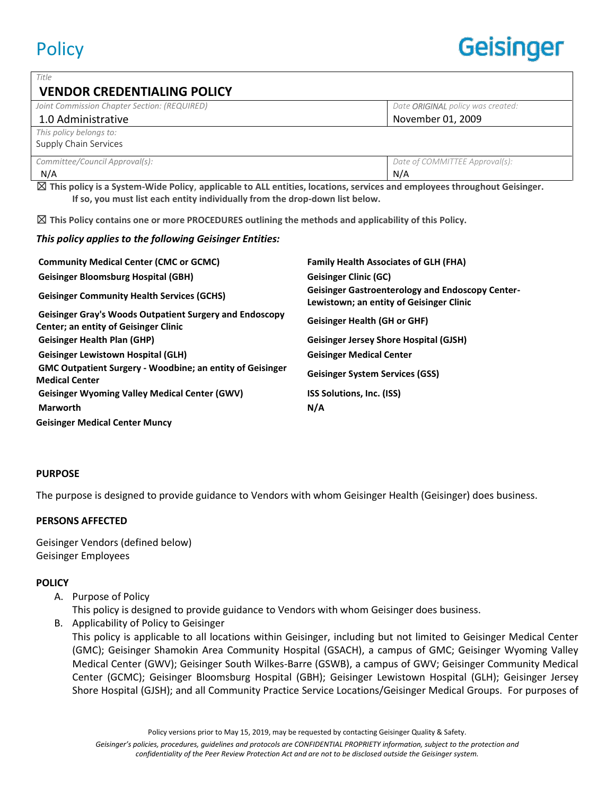| Title                                        |                                   |
|----------------------------------------------|-----------------------------------|
| <b>VENDOR CREDENTIALING POLICY</b>           |                                   |
| Joint Commission Chapter Section: (REQUIRED) | Date ORIGINAL policy was created: |
| 1.0 Administrative                           | November 01, 2009                 |
| This policy belongs to:                      |                                   |
| Supply Chain Services                        |                                   |
| Committee/Council Approval(s):               | Date of COMMITTEE Approval(s):    |
| N/A                                          | N/A                               |

☒ **This policy is a System-Wide Policy**, **applicable to ALL entities, locations, services and employees throughout Geisinger. If so, you must list each entity individually from the drop-down list below.**

☒ **This Policy contains one or more PROCEDURES outlining the methods and applicability of this Policy.**

#### *This policy applies to the following Geisinger Entities:*

| <b>Community Medical Center (CMC or GCMC)</b>                                                           | <b>Family Health Associates of GLH (FHA)</b>                                                        |
|---------------------------------------------------------------------------------------------------------|-----------------------------------------------------------------------------------------------------|
| <b>Geisinger Bloomsburg Hospital (GBH)</b>                                                              | <b>Geisinger Clinic (GC)</b>                                                                        |
| <b>Geisinger Community Health Services (GCHS)</b>                                                       | <b>Geisinger Gastroenterology and Endoscopy Center-</b><br>Lewistown; an entity of Geisinger Clinic |
| Geisinger Gray's Woods Outpatient Surgery and Endoscopy<br><b>Center; an entity of Geisinger Clinic</b> | <b>Geisinger Health (GH or GHF)</b>                                                                 |
| <b>Geisinger Health Plan (GHP)</b>                                                                      | <b>Geisinger Jersey Shore Hospital (GJSH)</b>                                                       |
| <b>Geisinger Lewistown Hospital (GLH)</b>                                                               | <b>Geisinger Medical Center</b>                                                                     |
| <b>GMC Outpatient Surgery - Woodbine; an entity of Geisinger</b><br><b>Medical Center</b>               | <b>Geisinger System Services (GSS)</b>                                                              |
| <b>Geisinger Wyoming Valley Medical Center (GWV)</b>                                                    | <b>ISS Solutions, Inc. (ISS)</b>                                                                    |
| <b>Marworth</b>                                                                                         | N/A                                                                                                 |
| <b>Geisinger Medical Center Muncy</b>                                                                   |                                                                                                     |

#### **PURPOSE**

The purpose is designed to provide guidance to Vendors with whom Geisinger Health (Geisinger) does business.

## **PERSONS AFFECTED**

Geisinger Vendors (defined below) Geisinger Employees

## **POLICY**

A. Purpose of Policy

This policy is designed to provide guidance to Vendors with whom Geisinger does business.

B. Applicability of Policy to Geisinger

This policy is applicable to all locations within Geisinger, including but not limited to Geisinger Medical Center (GMC); Geisinger Shamokin Area Community Hospital (GSACH), a campus of GMC; Geisinger Wyoming Valley Medical Center (GWV); Geisinger South Wilkes-Barre (GSWB), a campus of GWV; Geisinger Community Medical Center (GCMC); Geisinger Bloomsburg Hospital (GBH); Geisinger Lewistown Hospital (GLH); Geisinger Jersey Shore Hospital (GJSH); and all Community Practice Service Locations/Geisinger Medical Groups. For purposes of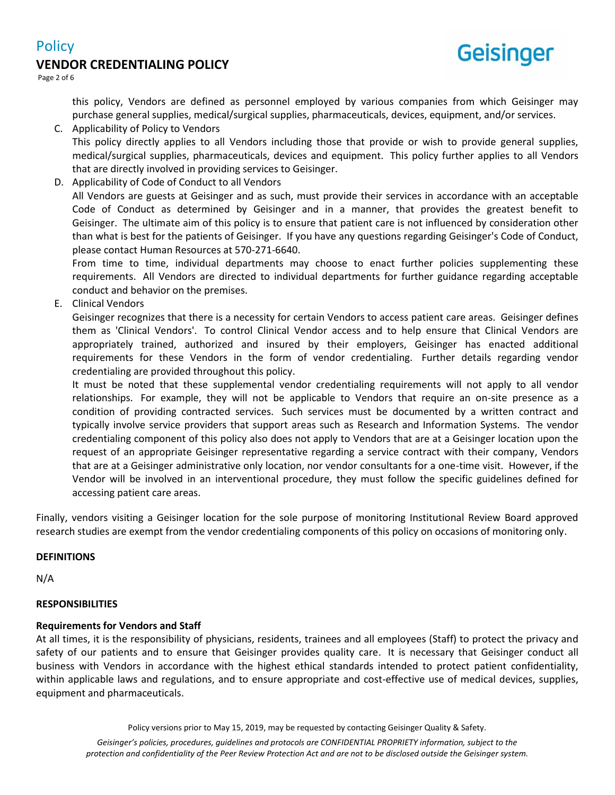# **VENDOR CREDENTIALING POLICY**



Page 2 of 6

**Policy** 

this policy, Vendors are defined as personnel employed by various companies from which Geisinger may purchase general supplies, medical/surgical supplies, pharmaceuticals, devices, equipment, and/or services.

C. Applicability of Policy to Vendors

This policy directly applies to all Vendors including those that provide or wish to provide general supplies, medical/surgical supplies, pharmaceuticals, devices and equipment. This policy further applies to all Vendors that are directly involved in providing services to Geisinger.

D. Applicability of Code of Conduct to all Vendors

All Vendors are guests at Geisinger and as such, must provide their services in accordance with an acceptable Code of Conduct as determined by Geisinger and in a manner, that provides the greatest benefit to Geisinger. The ultimate aim of this policy is to ensure that patient care is not influenced by consideration other than what is best for the patients of Geisinger. If you have any questions regarding Geisinger's Code of Conduct, please contact Human Resources at 570-271-6640.

From time to time, individual departments may choose to enact further policies supplementing these requirements. All Vendors are directed to individual departments for further guidance regarding acceptable conduct and behavior on the premises.

E. Clinical Vendors

Geisinger recognizes that there is a necessity for certain Vendors to access patient care areas. Geisinger defines them as 'Clinical Vendors'. To control Clinical Vendor access and to help ensure that Clinical Vendors are appropriately trained, authorized and insured by their employers, Geisinger has enacted additional requirements for these Vendors in the form of vendor credentialing. Further details regarding vendor credentialing are provided throughout this policy.

It must be noted that these supplemental vendor credentialing requirements will not apply to all vendor relationships. For example, they will not be applicable to Vendors that require an on-site presence as a condition of providing contracted services. Such services must be documented by a written contract and typically involve service providers that support areas such as Research and Information Systems. The vendor credentialing component of this policy also does not apply to Vendors that are at a Geisinger location upon the request of an appropriate Geisinger representative regarding a service contract with their company, Vendors that are at a Geisinger administrative only location, nor vendor consultants for a one-time visit. However, if the Vendor will be involved in an interventional procedure, they must follow the specific guidelines defined for accessing patient care areas.

Finally, vendors visiting a Geisinger location for the sole purpose of monitoring Institutional Review Board approved research studies are exempt from the vendor credentialing components of this policy on occasions of monitoring only.

#### **DEFINITIONS**

N/A

#### **RESPONSIBILITIES**

#### **Requirements for Vendors and Staff**

At all times, it is the responsibility of physicians, residents, trainees and all employees (Staff) to protect the privacy and safety of our patients and to ensure that Geisinger provides quality care. It is necessary that Geisinger conduct all business with Vendors in accordance with the highest ethical standards intended to protect patient confidentiality, within applicable laws and regulations, and to ensure appropriate and cost-effective use of medical devices, supplies, equipment and pharmaceuticals.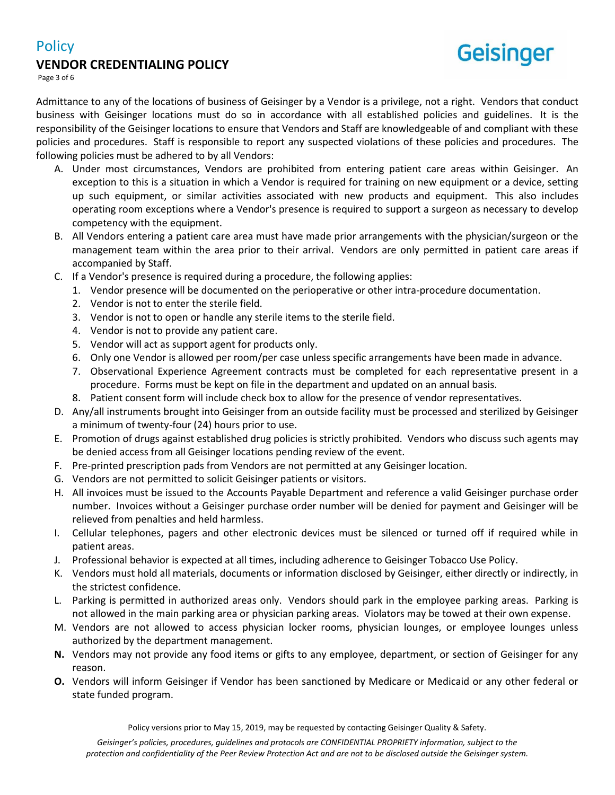# **Policy**

# **VENDOR CREDENTIALING POLICY**



Page 3 of 6

Admittance to any of the locations of business of Geisinger by a Vendor is a privilege, not a right. Vendors that conduct business with Geisinger locations must do so in accordance with all established policies and guidelines. It is the responsibility of the Geisinger locations to ensure that Vendors and Staff are knowledgeable of and compliant with these policies and procedures. Staff is responsible to report any suspected violations of these policies and procedures. The following policies must be adhered to by all Vendors:

- A. Under most circumstances, Vendors are prohibited from entering patient care areas within Geisinger. An exception to this is a situation in which a Vendor is required for training on new equipment or a device, setting up such equipment, or similar activities associated with new products and equipment. This also includes operating room exceptions where a Vendor's presence is required to support a surgeon as necessary to develop competency with the equipment.
- B. All Vendors entering a patient care area must have made prior arrangements with the physician/surgeon or the management team within the area prior to their arrival. Vendors are only permitted in patient care areas if accompanied by Staff.
- C. If a Vendor's presence is required during a procedure, the following applies:
	- 1. Vendor presence will be documented on the perioperative or other intra-procedure documentation.
	- 2. Vendor is not to enter the sterile field.
	- 3. Vendor is not to open or handle any sterile items to the sterile field.
	- 4. Vendor is not to provide any patient care.
	- 5. Vendor will act as support agent for products only.
	- 6. Only one Vendor is allowed per room/per case unless specific arrangements have been made in advance.
	- 7. Observational Experience Agreement contracts must be completed for each representative present in a procedure. Forms must be kept on file in the department and updated on an annual basis.
	- 8. Patient consent form will include check box to allow for the presence of vendor representatives.
- D. Any/all instruments brought into Geisinger from an outside facility must be processed and sterilized by Geisinger a minimum of twenty-four (24) hours prior to use.
- E. Promotion of drugs against established drug policies is strictly prohibited. Vendors who discuss such agents may be denied access from all Geisinger locations pending review of the event.
- F. Pre-printed prescription pads from Vendors are not permitted at any Geisinger location.
- G. Vendors are not permitted to solicit Geisinger patients or visitors.
- H. All invoices must be issued to the Accounts Payable Department and reference a valid Geisinger purchase order number. Invoices without a Geisinger purchase order number will be denied for payment and Geisinger will be relieved from penalties and held harmless.
- I. Cellular telephones, pagers and other electronic devices must be silenced or turned off if required while in patient areas.
- J. Professional behavior is expected at all times, including adherence to Geisinger Tobacco Use Policy.
- K. Vendors must hold all materials, documents or information disclosed by Geisinger, either directly or indirectly, in the strictest confidence.
- L. Parking is permitted in authorized areas only. Vendors should park in the employee parking areas. Parking is not allowed in the main parking area or physician parking areas. Violators may be towed at their own expense.
- M. Vendors are not allowed to access physician locker rooms, physician lounges, or employee lounges unless authorized by the department management.
- **N.** Vendors may not provide any food items or gifts to any employee, department, or section of Geisinger for any reason.
- **O.** Vendors will inform Geisinger if Vendor has been sanctioned by Medicare or Medicaid or any other federal or state funded program.

Policy versions prior to May 15, 2019, may be requested by contacting Geisinger Quality & Safety.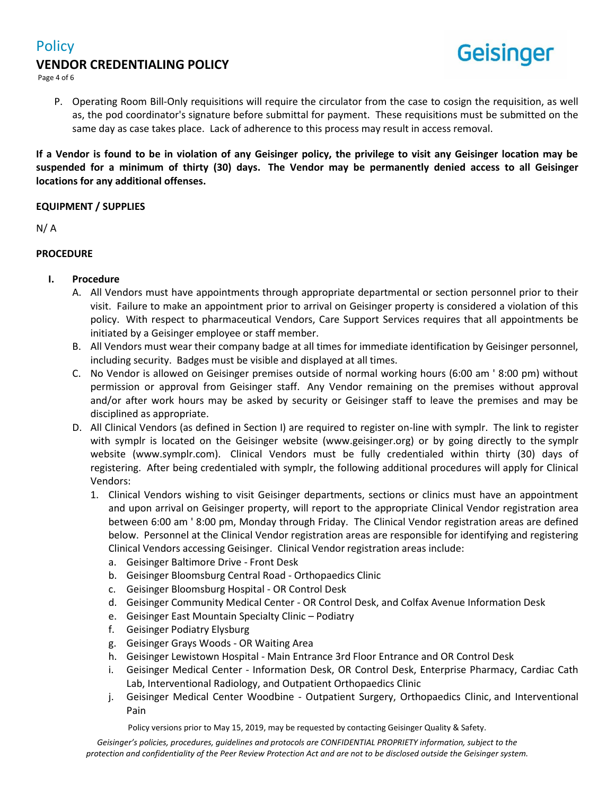

Page 4 of 6

- **Geisinger**
- P. Operating Room Bill-Only requisitions will require the circulator from the case to cosign the requisition, as well as, the pod coordinator's signature before submittal for payment. These requisitions must be submitted on the same day as case takes place. Lack of adherence to this process may result in access removal.

**If a Vendor is found to be in violation of any Geisinger policy, the privilege to visit any Geisinger location may be suspended for a minimum of thirty (30) days. The Vendor may be permanently denied access to all Geisinger locations for any additional offenses.**

## **EQUIPMENT / SUPPLIES**

N/ A

## **PROCEDURE**

- **I. Procedure**
	- A. All Vendors must have appointments through appropriate departmental or section personnel prior to their visit. Failure to make an appointment prior to arrival on Geisinger property is considered a violation of this policy. With respect to pharmaceutical Vendors, Care Support Services requires that all appointments be initiated by a Geisinger employee or staff member.
	- B. All Vendors must wear their company badge at all times for immediate identification by Geisinger personnel, including security. Badges must be visible and displayed at all times.
	- C. No Vendor is allowed on Geisinger premises outside of normal working hours (6:00 am ' 8:00 pm) without permission or approval from Geisinger staff. Any Vendor remaining on the premises without approval and/or after work hours may be asked by security or Geisinger staff to leave the premises and may be disciplined as appropriate.
	- D. All Clinical Vendors (as defined in Section I) are required to register on-line with symplr. The link to register with symplr is located on the Geisinger website (www.geisinger.org) or by going directly to the symplr website (www.symplr.com). Clinical Vendors must be fully credentialed within thirty (30) days of registering. After being credentialed with symplr, the following additional procedures will apply for Clinical Vendors:
		- 1. Clinical Vendors wishing to visit Geisinger departments, sections or clinics must have an appointment and upon arrival on Geisinger property, will report to the appropriate Clinical Vendor registration area between 6:00 am ' 8:00 pm, Monday through Friday. The Clinical Vendor registration areas are defined below. Personnel at the Clinical Vendor registration areas are responsible for identifying and registering Clinical Vendors accessing Geisinger. Clinical Vendor registration areas include:
			- a. Geisinger Baltimore Drive Front Desk
			- b. Geisinger Bloomsburg Central Road Orthopaedics Clinic
			- c. Geisinger Bloomsburg Hospital OR Control Desk
			- d. Geisinger Community Medical Center OR Control Desk, and Colfax Avenue Information Desk
			- e. Geisinger East Mountain Specialty Clinic Podiatry
			- f. Geisinger Podiatry Elysburg
			- g. Geisinger Grays Woods OR Waiting Area
			- h. Geisinger Lewistown Hospital Main Entrance 3rd Floor Entrance and OR Control Desk
			- i. Geisinger Medical Center Information Desk, OR Control Desk, Enterprise Pharmacy, Cardiac Cath Lab, Interventional Radiology, and Outpatient Orthopaedics Clinic
			- j. Geisinger Medical Center Woodbine Outpatient Surgery, Orthopaedics Clinic, and Interventional Pain

Policy versions prior to May 15, 2019, may be requested by contacting Geisinger Quality & Safety.

*Geisinger's policies, procedures, guidelines and protocols are CONFIDENTIAL PROPRIETY information, subject to the protection and confidentiality of the Peer Review Protection Act and are not to be disclosed outside the Geisinger system.*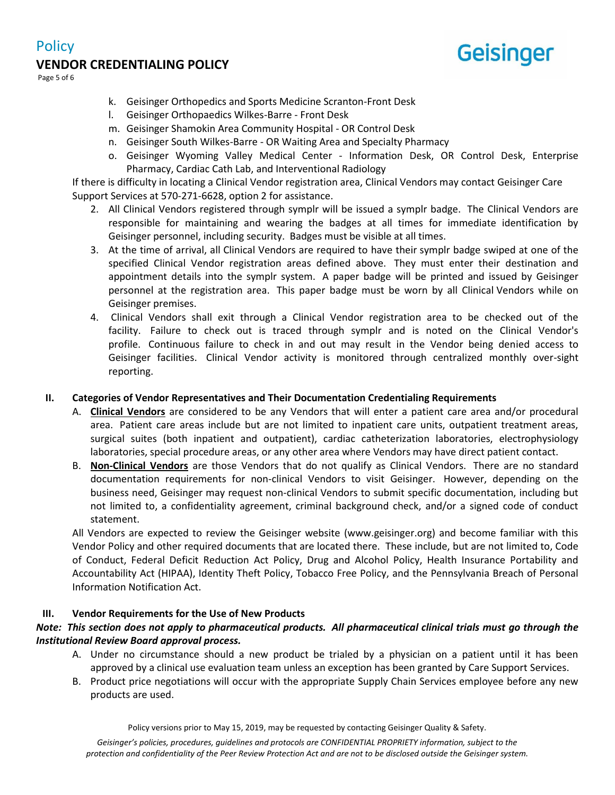# **VENDOR CREDENTIALING POLICY**



Page 5 of 6

**Policy** 

- k. Geisinger Orthopedics and Sports Medicine Scranton-Front Desk
- l. Geisinger Orthopaedics Wilkes-Barre Front Desk
- m. Geisinger Shamokin Area Community Hospital OR Control Desk
- n. Geisinger South Wilkes-Barre OR Waiting Area and Specialty Pharmacy
- o. Geisinger Wyoming Valley Medical Center Information Desk, OR Control Desk, Enterprise Pharmacy, Cardiac Cath Lab, and Interventional Radiology

If there is difficulty in locating a Clinical Vendor registration area, Clinical Vendors may contact Geisinger Care Support Services at 570-271-6628, option 2 for assistance.

- 2. All Clinical Vendors registered through symplr will be issued a symplr badge. The Clinical Vendors are responsible for maintaining and wearing the badges at all times for immediate identification by Geisinger personnel, including security. Badges must be visible at all times.
- 3. At the time of arrival, all Clinical Vendors are required to have their symplr badge swiped at one of the specified Clinical Vendor registration areas defined above. They must enter their destination and appointment details into the symplr system. A paper badge will be printed and issued by Geisinger personnel at the registration area. This paper badge must be worn by all Clinical Vendors while on Geisinger premises.
- 4. Clinical Vendors shall exit through a Clinical Vendor registration area to be checked out of the facility. Failure to check out is traced through symplr and is noted on the Clinical Vendor's profile. Continuous failure to check in and out may result in the Vendor being denied access to Geisinger facilities. Clinical Vendor activity is monitored through centralized monthly over-sight reporting.

# **II. Categories of Vendor Representatives and Their Documentation Credentialing Requirements**

- A. **Clinical Vendors** are considered to be any Vendors that will enter a patient care area and/or procedural area. Patient care areas include but are not limited to inpatient care units, outpatient treatment areas, surgical suites (both inpatient and outpatient), cardiac catheterization laboratories, electrophysiology laboratories, special procedure areas, or any other area where Vendors may have direct patient contact.
- B. **Non-Clinical Vendors** are those Vendors that do not qualify as Clinical Vendors. There are no standard documentation requirements for non-clinical Vendors to visit Geisinger. However, depending on the business need, Geisinger may request non-clinical Vendors to submit specific documentation, including but not limited to, a confidentiality agreement, criminal background check, and/or a signed code of conduct statement.

All Vendors are expected to review the Geisinger website (www.geisinger.org) and become familiar with this Vendor Policy and other required documents that are located there. These include, but are not limited to, Code of Conduct, Federal Deficit Reduction Act Policy, Drug and Alcohol Policy, Health Insurance Portability and Accountability Act (HIPAA), Identity Theft Policy, Tobacco Free Policy, and the Pennsylvania Breach of Personal Information Notification Act.

# **III. Vendor Requirements for the Use of New Products**

# *Note: This section does not apply to pharmaceutical products. All pharmaceutical clinical trials must go through the Institutional Review Board approval process.*

- A. Under no circumstance should a new product be trialed by a physician on a patient until it has been approved by a clinical use evaluation team unless an exception has been granted by Care Support Services.
- B. Product price negotiations will occur with the appropriate Supply Chain Services employee before any new products are used.

Policy versions prior to May 15, 2019, may be requested by contacting Geisinger Quality & Safety.

*Geisinger's policies, procedures, guidelines and protocols are CONFIDENTIAL PROPRIETY information, subject to the protection and confidentiality of the Peer Review Protection Act and are not to be disclosed outside the Geisinger system.*